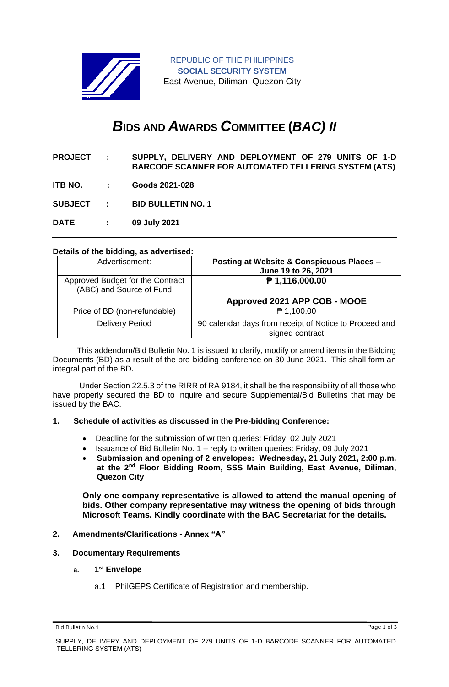

REPUBLIC OF THE PHILIPPINES **SOCIAL SECURITY SYSTEM** East Avenue, Diliman, Quezon City

# *B***IDS AND** *A***WARDS** *C***OMMITTEE (***BAC) II*

**PROJECT : SUPPLY, DELIVERY AND DEPLOYMENT OF 279 UNITS OF 1-D BARCODE SCANNER FOR AUTOMATED TELLERING SYSTEM (ATS)**

**ITB NO. : Goods 2021-028**

**SUBJECT : BID BULLETIN NO. 1**

**DATE : 09 July 2021**

## **Details of the bidding, as advertised:**

| Advertisement:                                               | Posting at Website & Conspicuous Places -<br>June 19 to 26, 2021          |
|--------------------------------------------------------------|---------------------------------------------------------------------------|
| Approved Budget for the Contract<br>(ABC) and Source of Fund | $P$ 1,116,000.00                                                          |
|                                                              | Approved 2021 APP COB - MOOE                                              |
| Price of BD (non-refundable)                                 | ₹ 1,100.00                                                                |
| <b>Delivery Period</b>                                       | 90 calendar days from receipt of Notice to Proceed and<br>signed contract |

 This addendum/Bid Bulletin No. 1 is issued to clarify, modify or amend items in the Bidding Documents (BD) as a result of the pre-bidding conference on 30 June 2021. This shall form an integral part of the BD**.**

Under Section 22.5.3 of the RIRR of RA 9184, it shall be the responsibility of all those who have properly secured the BD to inquire and secure Supplemental/Bid Bulletins that may be issued by the BAC.

### **1. Schedule of activities as discussed in the Pre-bidding Conference:**

- Deadline for the submission of written queries: Friday, 02 July 2021
- Issuance of Bid Bulletin No. 1 reply to written queries: Friday, 09 July 2021
- **Submission and opening of 2 envelopes: Wednesday, 21 July 2021, 2:00 p.m. at the 2nd Floor Bidding Room, SSS Main Building, East Avenue, Diliman, Quezon City**

**Only one company representative is allowed to attend the manual opening of bids. Other company representative may witness the opening of bids through Microsoft Teams. Kindly coordinate with the BAC Secretariat for the details.**

- **2. Amendments/Clarifications - Annex "A"**
- **3. Documentary Requirements**
	- **a. 1 st Envelope**
		- a.1 PhilGEPS Certificate of Registration and membership.

Bid Bulletin No.1 Page 1 of 3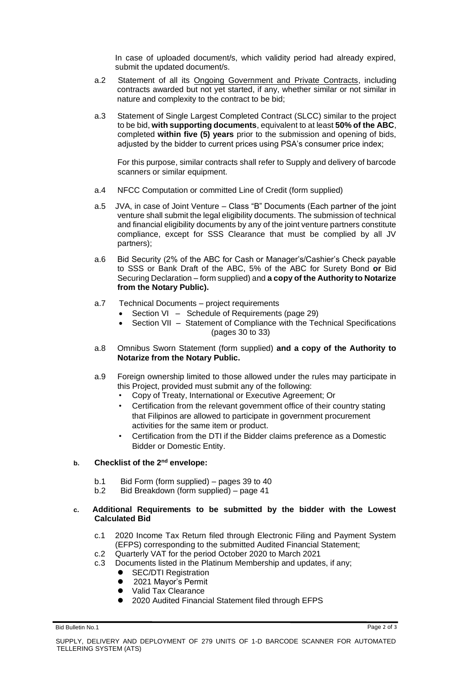In case of uploaded document/s, which validity period had already expired, submit the updated document/s.

- a.2 Statement of all its Ongoing Government and Private Contracts, including contracts awarded but not yet started, if any, whether similar or not similar in nature and complexity to the contract to be bid;
- a.3 Statement of Single Largest Completed Contract (SLCC) similar to the project to be bid, **with supporting documents**, equivalent to at least **50% of the ABC**, completed **within five (5) years** prior to the submission and opening of bids, adjusted by the bidder to current prices using PSA's consumer price index;

For this purpose, similar contracts shall refer to Supply and delivery of barcode scanners or similar equipment.

- a.4 NFCC Computation or committed Line of Credit (form supplied)
- a.5 JVA, in case of Joint Venture Class "B" Documents (Each partner of the joint venture shall submit the legal eligibility documents. The submission of technical and financial eligibility documents by any of the joint venture partners constitute compliance, except for SSS Clearance that must be complied by all JV partners);
- a.6 Bid Security (2% of the ABC for Cash or Manager's/Cashier's Check payable to SSS or Bank Draft of the ABC, 5% of the ABC for Surety Bond **or** Bid Securing Declaration – form supplied) and **a copy of the Authority to Notarize from the Notary Public).**
- a.7 Technical Documents project requirements
	- Section VI Schedule of Requirements (page 29)
	- Section VII Statement of Compliance with the Technical Specifications (pages 30 to 33)
- a.8 Omnibus Sworn Statement (form supplied) **and a copy of the Authority to Notarize from the Notary Public.**
- a.9 Foreign ownership limited to those allowed under the rules may participate in this Project, provided must submit any of the following:
	- Copy of Treaty, International or Executive Agreement; Or
	- Certification from the relevant government office of their country stating that Filipinos are allowed to participate in government procurement activities for the same item or product.
	- Certification from the DTI if the Bidder claims preference as a Domestic Bidder or Domestic Entity.

### **b. Checklist of the 2nd envelope:**

- b.1 Bid Form (form supplied) pages 39 to 40
- b.2 Bid Breakdown (form supplied) page 41

## **c. Additional Requirements to be submitted by the bidder with the Lowest Calculated Bid**

- c.1 2020 Income Tax Return filed through Electronic Filing and Payment System (EFPS) corresponding to the submitted Audited Financial Statement;
- c.2 Quarterly VAT for the period October 2020 to March 2021
- c.3 Documents listed in the Platinum Membership and updates, if any;
	- ⚫ SEC/DTI Registration
	- 2021 Mavor's Permit
	- ⚫ Valid Tax Clearance
	- ⚫ 2020 Audited Financial Statement filed through EFPS

Bid Bulletin No.1 Page 2 of 3